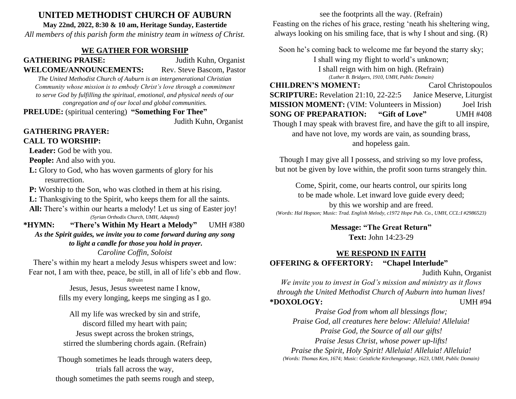# **UNITED METHODIST CHURCH OF AUBURN**

**May 22nd, 2022, 8:30 & 10 am, Heritage Sunday, Eastertide**

*All members of this parish form the ministry team in witness of Christ.*

## **WE GATHER FOR WORSHIP**

**GATHERING PRAISE:** Judith Kuhn, Organist **WELCOME/ANNOUNCEMENTS:** Rev. Steve Bascom, Pastor

*The United Methodist Church of Auburn is an intergenerational Christian Community whose mission is to embody Christ's love through a commitment to serve God by fulfilling the spiritual, emotional, and physical needs of our congregation and of our local and global communities.*

**PRELUDE:** (spiritual centering) **"Something For Thee"**

Judith Kuhn, Organist

## **GATHERING PRAYER: CALL TO WORSHIP:**

 **Leader:** God be with you.

**People:** And also with you.

 **L:** Glory to God, who has woven garments of glory for his resurrection.

**P:** Worship to the Son, who was clothed in them at his rising.

**L:** Thanksgiving to the Spirit, who keeps them for all the saints.

All: There's within our hearts a melody! Let us sing of Easter joy! *(Syrian Orthodix Church, UMH, Adapted)*

**\*HYMN: "There's Within My Heart a Melody"** UMH #380 *As the Spirit guides, we invite you to come forward during any song*

*to light a candle for those you hold in prayer.*

*Caroline Coffin, Soloist*

There's within my heart a melody Jesus whispers sweet and low: Fear not, I am with thee, peace, be still, in all of life's ebb and flow.

*Refrain*

Jesus, Jesus, Jesus sweetest name I know, fills my every longing, keeps me singing as I go.

All my life was wrecked by sin and strife, discord filled my heart with pain; Jesus swept across the broken strings, stirred the slumbering chords again. (Refrain)

Though sometimes he leads through waters deep, trials fall across the way, though sometimes the path seems rough and steep,

see the footprints all the way. (Refrain) Feasting on the riches of his grace, resting 'neath his sheltering wing, always looking on his smiling face, that is why I shout and sing. (R)

Soon he's coming back to welcome me far beyond the starry sky;

I shall wing my flight to world's unknown;

I shall reign with him on high. (Refrain) *(Luther B. Bridgers, 1910, UMH, Public Domain)*

**CHILDREN'S MOMENT:** Carol Christopoulos **SCRIPTURE:** Revelation 21:10, 22-22:5 Janice Meserve, Liturgist **MISSION MOMENT:** (VIM: Volunteers in Mission) Joel Irish **SONG OF PREPARATION: "Gift of Love"** UMH #408 Though I may speak with bravest fire, and have the gift to all inspire, and have not love, my words are vain, as sounding brass, and hopeless gain.

Though I may give all I possess, and striving so my love profess, but not be given by love within, the profit soon turns strangely thin.

Come, Spirit, come, our hearts control, our spirits long to be made whole. Let inward love guide every deed; by this we worship and are freed. *(Words: Hal Hopson; Music: Trad. English Melody, c1972 Hope Pub. Co., UMH, CCL:I #2986523)*

> **Message: "The Great Return" Text:** John 14:23-29

# **WE RESPOND IN FAITH OFFERING & OFFERTORY: "Chapel Interlude"**

Judith Kuhn, Organist

*We invite you to invest in God's mission and ministry as it flows through the United Methodist Church of Auburn into human lives!* **\*DOXOLOGY:** UMH #94

*Praise God from whom all blessings flow; Praise God, all creatures here below: Alleluia! Alleluia! Praise God, the Source of all our gifts! Praise Jesus Christ, whose power up-lifts! Praise the Spirit, Holy Spirit! Alleluia! Alleluia! Alleluia! (Words: Thomas Ken, 1674; Music: Geistliche Kirchengesange, 1623, UMH, Public Domain)*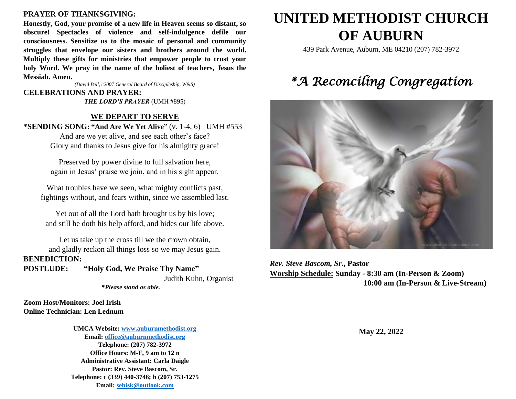#### **PRAYER OF THANKSGIVING:**

**Honestly, God, your promise of a new life in Heaven seems so distant, so obscure! Spectacles of violence and self-indulgence defile our consciousness. Sensitize us to the mosaic of personal and community struggles that envelope our sisters and brothers around the world. Multiply these gifts for ministries that empower people to trust your holy Word. We pray in the name of the holiest of teachers, Jesus the Messiah. Amen.**

*(David Bell, c2007 General Board of Discipleship, W&S)*

#### **CELEBRATIONS AND PRAYER:**

*THE LORD'S PRAYER* (UMH #895)

#### **WE DEPART TO SERVE**

**\*SENDING SONG: "And Are We Yet Alive"** (v. 1-4, 6) UMH #553

And are we yet alive, and see each other's face? Glory and thanks to Jesus give for his almighty grace!

Preserved by power divine to full salvation here, again in Jesus' praise we join, and in his sight appear.

What troubles have we seen, what mighty conflicts past, fightings without, and fears within, since we assembled last.

Yet out of all the Lord hath brought us by his love; and still he doth his help afford, and hides our life above.

Let us take up the cross till we the crown obtain, and gladly reckon all things loss so we may Jesus gain. **BENEDICTION:**

**POSTLUDE: "Holy God, We Praise Thy Name"**

Judith Kuhn, Organist  *\*Please stand as able.*

**Zoom Host/Monitors: Joel Irish Online Technician: Len Lednum**

> **UMCA Website: [www.auburnmethodist.org](http://www.auburnmethodist.org/) Email: [office@auburnmethodist.org](mailto:office@auburnmethodist.org) Telephone: (207) 782-3972 Office Hours: M-F, 9 am to 12 n Administrative Assistant: Carla Daigle Pastor: Rev. Steve Bascom, Sr. Telephone: c (339) 440-3746; h (207) 753-1275 Email[: sebisk@outlook.com](mailto:sebisk@outlook.com)**

# **UNITED METHODIST CHURCH OF AUBURN**

439 Park Avenue, Auburn, ME 04210 (207) 782-3972

# *\*A Reconciling Congregation*



*Rev. Steve Bascom, Sr***., Pastor Worship Schedule: Sunday - 8:30 am (In-Person & Zoom) 10:00 am (In-Person & Live-Stream)**

**May 22, 2022**